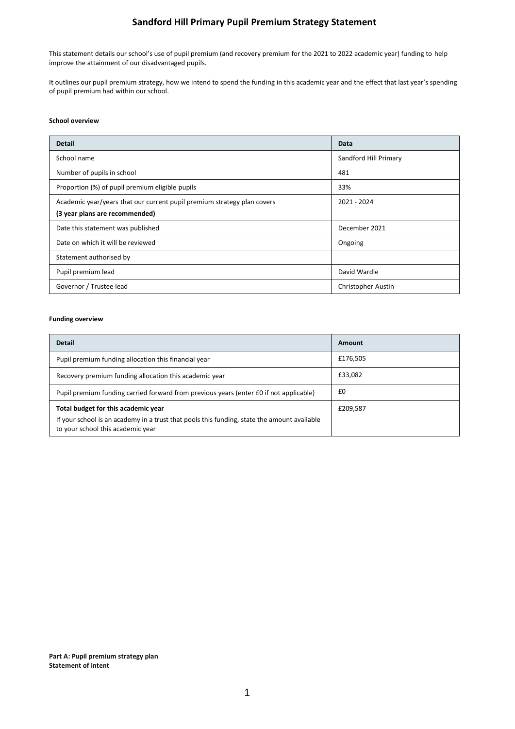# **Sandford Hill Primary Pupil Premium Strategy Statement**

This statement details our school's use of pupil premium (and recovery premium for the 2021 to 2022 academic year) funding to help improve the attainment of our disadvantaged pupils.

It outlines our pupil premium strategy, how we intend to spend the funding in this academic year and the effect that last year's spending of pupil premium had within our school.

### **School overview**

| <b>Detail</b>                                                           | Data                  |
|-------------------------------------------------------------------------|-----------------------|
| School name                                                             | Sandford Hill Primary |
| Number of pupils in school                                              | 481                   |
| Proportion (%) of pupil premium eligible pupils                         | 33%                   |
| Academic year/years that our current pupil premium strategy plan covers | 2021 - 2024           |
| (3 year plans are recommended)                                          |                       |
| Date this statement was published                                       | December 2021         |
| Date on which it will be reviewed                                       | Ongoing               |
| Statement authorised by                                                 |                       |
| Pupil premium lead                                                      | David Wardle          |
| Governor / Trustee lead                                                 | Christopher Austin    |

### **Funding overview**

| <b>Detail</b>                                                                                                                    | Amount   |
|----------------------------------------------------------------------------------------------------------------------------------|----------|
| Pupil premium funding allocation this financial year                                                                             | £176,505 |
| Recovery premium funding allocation this academic year                                                                           | £33,082  |
| Pupil premium funding carried forward from previous years (enter £0 if not applicable)                                           | £0       |
| Total budget for this academic year                                                                                              | £209,587 |
| If your school is an academy in a trust that pools this funding, state the amount available<br>to your school this academic year |          |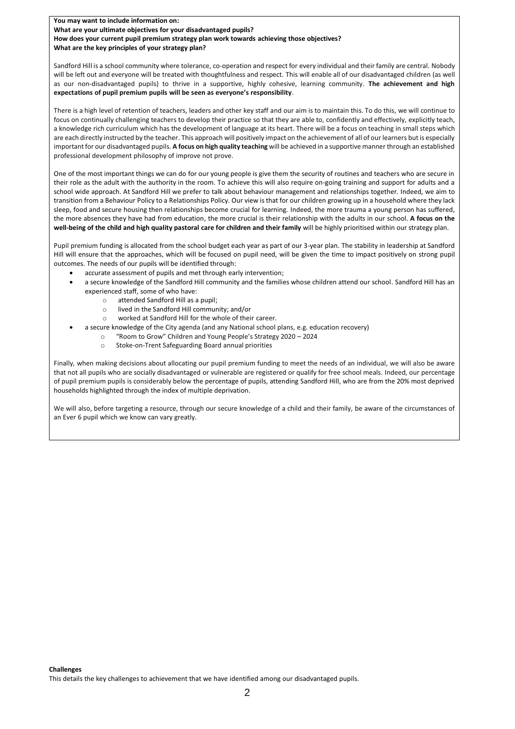**You may want to include information on: What are your ultimate objectives for your disadvantaged pupils? How does your current pupil premium strategy plan work towards achieving those objectives? What are the key principles of your strategy plan?**

Sandford Hill is a school community where tolerance, co-operation and respect for every individual and their family are central. Nobody will be left out and everyone will be treated with thoughtfulness and respect. This will enable all of our disadvantaged children (as well as our non-disadvantaged pupils) to thrive in a supportive, highly cohesive, learning community. **The achievement and high expectations of pupil premium pupils will be seen as everyone's responsibility**.

There is a high level of retention of teachers, leaders and other key staff and our aim is to maintain this. To do this, we will continue to focus on continually challenging teachers to develop their practice so that they are able to, confidently and effectively, explicitly teach, a knowledge rich curriculum which has the development of language at its heart. There will be a focus on teaching in small steps which are each directly instructed by the teacher. This approach will positively impact on the achievement of all of our learners but is especially important for our disadvantaged pupils. **A focus on high quality teaching** will be achieved in a supportive manner through an established professional development philosophy of improve not prove.

One of the most important things we can do for our young people is give them the security of routines and teachers who are secure in their role as the adult with the authority in the room. To achieve this will also require on-going training and support for adults and a school wide approach. At Sandford Hill we prefer to talk about behaviour management and relationships together. Indeed, we aim to transition from a Behaviour Policy to a Relationships Policy. Our view is that for our children growing up in a household where they lack sleep, food and secure housing then relationships become crucial for learning. Indeed, the more trauma a young person has suffered, the more absences they have had from education, the more crucial is their relationship with the adults in our school. **A focus on the well-being of the child and high quality pastoral care for children and their family** will be highly prioritised within our strategy plan.

Pupil premium funding is allocated from the school budget each year as part of our 3-year plan. The stability in leadership at Sandford Hill will ensure that the approaches, which will be focused on pupil need, will be given the time to impact positively on strong pupil outcomes. The needs of our pupils will be identified through:

- accurate assessment of pupils and met through early intervention;
- a secure knowledge of the Sandford Hill community and the families whose children attend our school. Sandford Hill has an experienced staff, some of who have:
	- o attended Sandford Hill as a pupil;
	- o lived in the Sandford Hill community; and/or
	- o worked at Sandford Hill for the whole of their career.
	- a secure knowledge of the City agenda (and any National school plans, e.g. education recovery)
		- o "Room to Grow" Children and Young People's Strategy 2020 2024
		- o Stoke-on-Trent Safeguarding Board annual priorities

Finally, when making decisions about allocating our pupil premium funding to meet the needs of an individual, we will also be aware that not all pupils who are socially disadvantaged or vulnerable are registered or qualify for free school meals. Indeed, our percentage of pupil premium pupils is considerably below the percentage of pupils, attending Sandford Hill, who are from the 20% most deprived households highlighted through the index of multiple deprivation.

We will also, before targeting a resource, through our secure knowledge of a child and their family, be aware of the circumstances of an Ever 6 pupil which we know can vary greatly.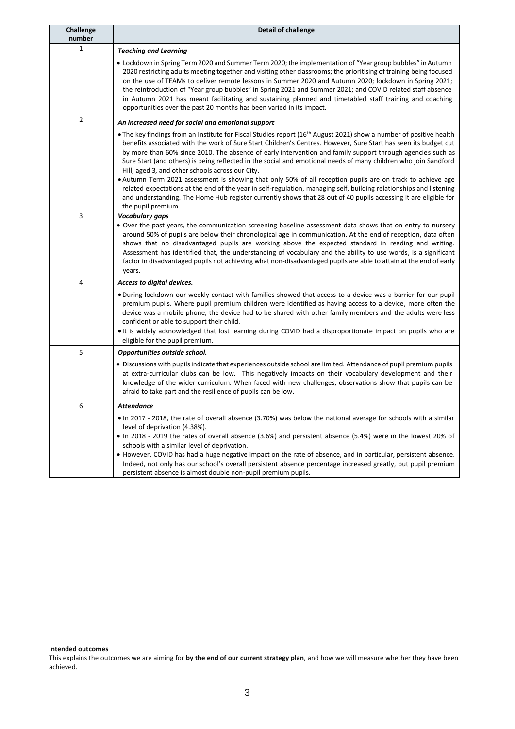| Challenge<br>number | <b>Detail of challenge</b>                                                                                                                                                                                                                                                                                                                                                                                                                                                                                                                                                                                                                                                                                                                                                                                                                                                                                           |
|---------------------|----------------------------------------------------------------------------------------------------------------------------------------------------------------------------------------------------------------------------------------------------------------------------------------------------------------------------------------------------------------------------------------------------------------------------------------------------------------------------------------------------------------------------------------------------------------------------------------------------------------------------------------------------------------------------------------------------------------------------------------------------------------------------------------------------------------------------------------------------------------------------------------------------------------------|
| 1                   | <b>Teaching and Learning</b>                                                                                                                                                                                                                                                                                                                                                                                                                                                                                                                                                                                                                                                                                                                                                                                                                                                                                         |
|                     | • Lockdown in Spring Term 2020 and Summer Term 2020; the implementation of "Year group bubbles" in Autumn<br>2020 restricting adults meeting together and visiting other classrooms; the prioritising of training being focused<br>on the use of TEAMs to deliver remote lessons in Summer 2020 and Autumn 2020; lockdown in Spring 2021;<br>the reintroduction of "Year group bubbles" in Spring 2021 and Summer 2021; and COVID related staff absence<br>in Autumn 2021 has meant facilitating and sustaining planned and timetabled staff training and coaching<br>opportunities over the past 20 months has been varied in its impact.                                                                                                                                                                                                                                                                           |
| $\overline{2}$      | An increased need for social and emotional support                                                                                                                                                                                                                                                                                                                                                                                                                                                                                                                                                                                                                                                                                                                                                                                                                                                                   |
|                     | • The key findings from an Institute for Fiscal Studies report (16 <sup>th</sup> August 2021) show a number of positive health<br>benefits associated with the work of Sure Start Children's Centres. However, Sure Start has seen its budget cut<br>by more than 60% since 2010. The absence of early intervention and family support through agencies such as<br>Sure Start (and others) is being reflected in the social and emotional needs of many children who join Sandford<br>Hill, aged 3, and other schools across our City.<br>• Autumn Term 2021 assessment is showing that only 50% of all reception pupils are on track to achieve age<br>related expectations at the end of the year in self-regulation, managing self, building relationships and listening<br>and understanding. The Home Hub register currently shows that 28 out of 40 pupils accessing it are eligible for<br>the pupil premium. |
| 3                   | Vocabulary gaps                                                                                                                                                                                                                                                                                                                                                                                                                                                                                                                                                                                                                                                                                                                                                                                                                                                                                                      |
|                     | • Over the past years, the communication screening baseline assessment data shows that on entry to nursery<br>around 50% of pupils are below their chronological age in communication. At the end of reception, data often<br>shows that no disadvantaged pupils are working above the expected standard in reading and writing.<br>Assessment has identified that, the understanding of vocabulary and the ability to use words, is a significant<br>factor in disadvantaged pupils not achieving what non-disadvantaged pupils are able to attain at the end of early<br>years.                                                                                                                                                                                                                                                                                                                                    |
| 4                   | Access to digital devices.                                                                                                                                                                                                                                                                                                                                                                                                                                                                                                                                                                                                                                                                                                                                                                                                                                                                                           |
|                     | . During lockdown our weekly contact with families showed that access to a device was a barrier for our pupil<br>premium pupils. Where pupil premium children were identified as having access to a device, more often the<br>device was a mobile phone, the device had to be shared with other family members and the adults were less<br>confident or able to support their child.<br>• It is widely acknowledged that lost learning during COVID had a disproportionate impact on pupils who are<br>eligible for the pupil premium.                                                                                                                                                                                                                                                                                                                                                                               |
| 5                   | Opportunities outside school.                                                                                                                                                                                                                                                                                                                                                                                                                                                                                                                                                                                                                                                                                                                                                                                                                                                                                        |
|                     | • Discussions with pupils indicate that experiences outside school are limited. Attendance of pupil premium pupils<br>at extra-curricular clubs can be low. This negatively impacts on their vocabulary development and their<br>knowledge of the wider curriculum. When faced with new challenges, observations show that pupils can be<br>afraid to take part and the resilience of pupils can be low.                                                                                                                                                                                                                                                                                                                                                                                                                                                                                                             |
| 6                   | <b>Attendance</b>                                                                                                                                                                                                                                                                                                                                                                                                                                                                                                                                                                                                                                                                                                                                                                                                                                                                                                    |
|                     | . In 2017 - 2018, the rate of overall absence (3.70%) was below the national average for schools with a similar<br>level of deprivation (4.38%).<br>· In 2018 - 2019 the rates of overall absence (3.6%) and persistent absence (5.4%) were in the lowest 20% of<br>schools with a similar level of deprivation.<br>• However, COVID has had a huge negative impact on the rate of absence, and in particular, persistent absence.<br>Indeed, not only has our school's overall persistent absence percentage increased greatly, but pupil premium<br>persistent absence is almost double non-pupil premium pupils.                                                                                                                                                                                                                                                                                                  |

**Intended outcomes**

This explains the outcomes we are aiming for **by the end of our current strategy plan**, and how we will measure whether they have been achieved.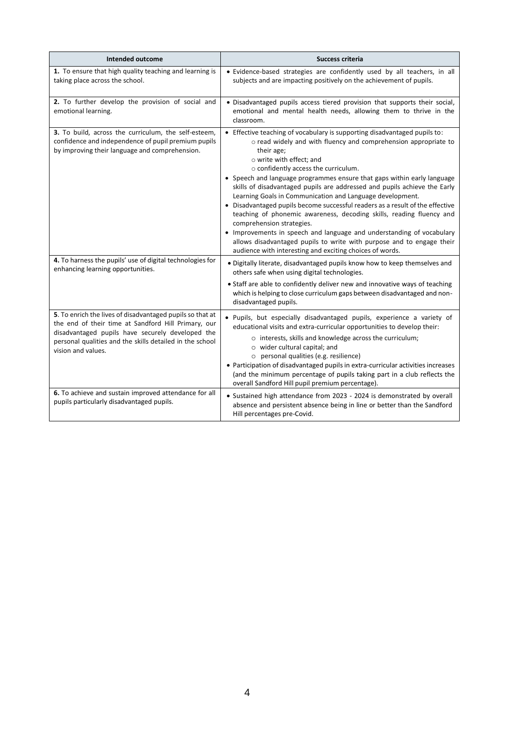| Intended outcome                                                                                                                                                                                                                                       | Success criteria                                                                                                                                                                                                                                                                                                                                                                                                                                                                                                                                                                                                                                                                                                                                                                                                                                        |
|--------------------------------------------------------------------------------------------------------------------------------------------------------------------------------------------------------------------------------------------------------|---------------------------------------------------------------------------------------------------------------------------------------------------------------------------------------------------------------------------------------------------------------------------------------------------------------------------------------------------------------------------------------------------------------------------------------------------------------------------------------------------------------------------------------------------------------------------------------------------------------------------------------------------------------------------------------------------------------------------------------------------------------------------------------------------------------------------------------------------------|
| 1. To ensure that high quality teaching and learning is<br>taking place across the school.                                                                                                                                                             | · Evidence-based strategies are confidently used by all teachers, in all<br>subjects and are impacting positively on the achievement of pupils.                                                                                                                                                                                                                                                                                                                                                                                                                                                                                                                                                                                                                                                                                                         |
| 2. To further develop the provision of social and<br>emotional learning.                                                                                                                                                                               | • Disadvantaged pupils access tiered provision that supports their social,<br>emotional and mental health needs, allowing them to thrive in the<br>classroom.                                                                                                                                                                                                                                                                                                                                                                                                                                                                                                                                                                                                                                                                                           |
| 3. To build, across the curriculum, the self-esteem,<br>confidence and independence of pupil premium pupils<br>by improving their language and comprehension.                                                                                          | • Effective teaching of vocabulary is supporting disadvantaged pupils to:<br>o read widely and with fluency and comprehension appropriate to<br>their age;<br>o write with effect; and<br>o confidently access the curriculum.<br>• Speech and language programmes ensure that gaps within early language<br>skills of disadvantaged pupils are addressed and pupils achieve the Early<br>Learning Goals in Communication and Language development.<br>• Disadvantaged pupils become successful readers as a result of the effective<br>teaching of phonemic awareness, decoding skills, reading fluency and<br>comprehension strategies.<br>• Improvements in speech and language and understanding of vocabulary<br>allows disadvantaged pupils to write with purpose and to engage their<br>audience with interesting and exciting choices of words. |
| 4. To harness the pupils' use of digital technologies for<br>enhancing learning opportunities.                                                                                                                                                         | • Digitally literate, disadvantaged pupils know how to keep themselves and<br>others safe when using digital technologies.<br>• Staff are able to confidently deliver new and innovative ways of teaching<br>which is helping to close curriculum gaps between disadvantaged and non-<br>disadvantaged pupils.                                                                                                                                                                                                                                                                                                                                                                                                                                                                                                                                          |
| 5. To enrich the lives of disadvantaged pupils so that at<br>the end of their time at Sandford Hill Primary, our<br>disadvantaged pupils have securely developed the<br>personal qualities and the skills detailed in the school<br>vision and values. | · Pupils, but especially disadvantaged pupils, experience a variety of<br>educational visits and extra-curricular opportunities to develop their:<br>o interests, skills and knowledge across the curriculum;<br>o wider cultural capital; and<br>o personal qualities (e.g. resilience)<br>• Participation of disadvantaged pupils in extra-curricular activities increases<br>(and the minimum percentage of pupils taking part in a club reflects the<br>overall Sandford Hill pupil premium percentage).                                                                                                                                                                                                                                                                                                                                            |
| 6. To achieve and sustain improved attendance for all<br>pupils particularly disadvantaged pupils.                                                                                                                                                     | • Sustained high attendance from 2023 - 2024 is demonstrated by overall<br>absence and persistent absence being in line or better than the Sandford<br>Hill percentages pre-Covid.                                                                                                                                                                                                                                                                                                                                                                                                                                                                                                                                                                                                                                                                      |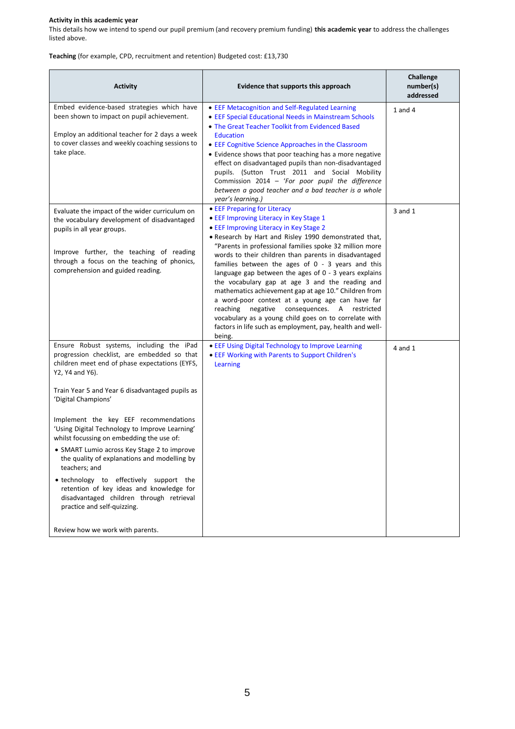# **Activity in this academic year**

This details how we intend to spend our pupil premium (and recovery premium funding) **this academic year** to address the challenges listed above.

**Teaching** (for example, CPD, recruitment and retention) Budgeted cost: £13,730

| <b>Activity</b>                                                                                                                                                                                                                                                                                                                                                                                                                                                                                                                                                                                                                                                                                       | Evidence that supports this approach                                                                                                                                                                                                                                                                                                                                                                                                                                                                                                                                                                                                                                                                                                                                 | Challenge<br>number(s)<br>addressed |
|-------------------------------------------------------------------------------------------------------------------------------------------------------------------------------------------------------------------------------------------------------------------------------------------------------------------------------------------------------------------------------------------------------------------------------------------------------------------------------------------------------------------------------------------------------------------------------------------------------------------------------------------------------------------------------------------------------|----------------------------------------------------------------------------------------------------------------------------------------------------------------------------------------------------------------------------------------------------------------------------------------------------------------------------------------------------------------------------------------------------------------------------------------------------------------------------------------------------------------------------------------------------------------------------------------------------------------------------------------------------------------------------------------------------------------------------------------------------------------------|-------------------------------------|
| Embed evidence-based strategies which have<br>been shown to impact on pupil achievement.<br>Employ an additional teacher for 2 days a week<br>to cover classes and weekly coaching sessions to<br>take place.                                                                                                                                                                                                                                                                                                                                                                                                                                                                                         | • EEF Metacognition and Self-Regulated Learning<br>• EEF Special Educational Needs in Mainstream Schools<br>• The Great Teacher Toolkit from Evidenced Based<br><b>Education</b><br>• EEF Cognitive Science Approaches in the Classroom<br>• Evidence shows that poor teaching has a more negative<br>effect on disadvantaged pupils than non-disadvantaged<br>pupils. (Sutton Trust 2011 and Social Mobility<br>Commission 2014 - 'For poor pupil the difference<br>between a good teacher and a bad teacher is a whole<br>year's learning.)                                                                                                                                                                                                                        | $1$ and $4$                         |
| Evaluate the impact of the wider curriculum on<br>the vocabulary development of disadvantaged<br>pupils in all year groups.<br>Improve further, the teaching of reading<br>through a focus on the teaching of phonics,<br>comprehension and guided reading.                                                                                                                                                                                                                                                                                                                                                                                                                                           | • EEF Preparing for Literacy<br>• EEF Improving Literacy in Key Stage 1<br>• EEF Improving Literacy in Key Stage 2<br>. Research by Hart and Risley 1990 demonstrated that,<br>"Parents in professional families spoke 32 million more<br>words to their children than parents in disadvantaged<br>families between the ages of $0 - 3$ years and this<br>language gap between the ages of 0 - 3 years explains<br>the vocabulary gap at age 3 and the reading and<br>mathematics achievement gap at age 10." Children from<br>a word-poor context at a young age can have far<br>reaching<br>negative<br>consequences. A restricted<br>vocabulary as a young child goes on to correlate with<br>factors in life such as employment, pay, health and well-<br>being. | 3 and 1                             |
| Ensure Robust systems, including the iPad<br>progression checklist, are embedded so that<br>children meet end of phase expectations (EYFS,<br>Y2, Y4 and Y6).<br>Train Year 5 and Year 6 disadvantaged pupils as<br>'Digital Champions'<br>Implement the key EEF recommendations<br>'Using Digital Technology to Improve Learning'<br>whilst focussing on embedding the use of:<br>• SMART Lumio across Key Stage 2 to improve<br>the quality of explanations and modelling by<br>teachers; and<br>• technology to effectively support the<br>retention of key ideas and knowledge for<br>disadvantaged children through retrieval<br>practice and self-quizzing.<br>Review how we work with parents. | • EEF Using Digital Technology to Improve Learning<br>• EEF Working with Parents to Support Children's<br>Learning                                                                                                                                                                                                                                                                                                                                                                                                                                                                                                                                                                                                                                                   | $4$ and $1$                         |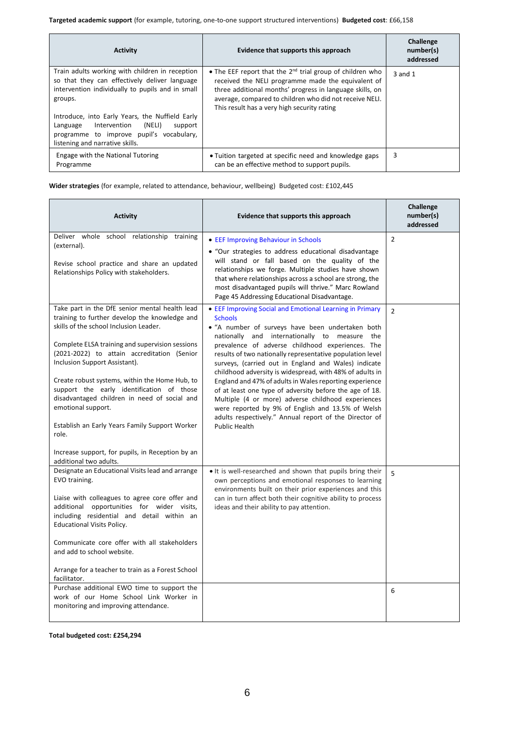| <b>Activity</b>                                                                                                                                                                                                                                                                                                                                    | Evidence that supports this approach                                                                                                                                                                                                                                                       | Challenge<br>number(s)<br>addressed |
|----------------------------------------------------------------------------------------------------------------------------------------------------------------------------------------------------------------------------------------------------------------------------------------------------------------------------------------------------|--------------------------------------------------------------------------------------------------------------------------------------------------------------------------------------------------------------------------------------------------------------------------------------------|-------------------------------------|
| Train adults working with children in reception<br>so that they can effectively deliver language<br>intervention individually to pupils and in small<br>groups.<br>Introduce, into Early Years, the Nuffield Early<br>Intervention<br>(NELI)<br>support<br>Language<br>programme to improve pupil's vocabulary,<br>listening and narrative skills. | • The EEF report that the $2^{nd}$ trial group of children who<br>received the NELI programme made the equivalent of<br>three additional months' progress in language skills, on<br>average, compared to children who did not receive NELI.<br>This result has a very high security rating | $3$ and $1$                         |
| Engage with the National Tutoring<br>Programme                                                                                                                                                                                                                                                                                                     | • Tuition targeted at specific need and knowledge gaps<br>can be an effective method to support pupils.                                                                                                                                                                                    | 3                                   |

**Wider strategies** (for example, related to attendance, behaviour, wellbeing) Budgeted cost: £102,445

| <b>Activity</b>                                                                                                                                                                                                                                                                                                                                                                                                                                                                                                                                                                            | Evidence that supports this approach                                                                                                                                                                                                                                                                                                                                                                                                                                                                                                                                                                                                                                                                                                    | Challenge<br>number(s)<br>addressed |
|--------------------------------------------------------------------------------------------------------------------------------------------------------------------------------------------------------------------------------------------------------------------------------------------------------------------------------------------------------------------------------------------------------------------------------------------------------------------------------------------------------------------------------------------------------------------------------------------|-----------------------------------------------------------------------------------------------------------------------------------------------------------------------------------------------------------------------------------------------------------------------------------------------------------------------------------------------------------------------------------------------------------------------------------------------------------------------------------------------------------------------------------------------------------------------------------------------------------------------------------------------------------------------------------------------------------------------------------------|-------------------------------------|
| Deliver whole school relationship training<br>(external).<br>Revise school practice and share an updated<br>Relationships Policy with stakeholders.                                                                                                                                                                                                                                                                                                                                                                                                                                        | • EEF Improving Behaviour in Schools<br>· "Our strategies to address educational disadvantage<br>will stand or fall based on the quality of the<br>relationships we forge. Multiple studies have shown<br>that where relationships across a school are strong, the<br>most disadvantaged pupils will thrive." Marc Rowland<br>Page 45 Addressing Educational Disadvantage.                                                                                                                                                                                                                                                                                                                                                              | $\mathcal{P}$                       |
| Take part in the DfE senior mental health lead<br>training to further develop the knowledge and<br>skills of the school Inclusion Leader.<br>Complete ELSA training and supervision sessions<br>(2021-2022) to attain accreditation (Senior<br>Inclusion Support Assistant).<br>Create robust systems, within the Home Hub, to<br>support the early identification of those<br>disadvantaged children in need of social and<br>emotional support.<br>Establish an Early Years Family Support Worker<br>role.<br>Increase support, for pupils, in Reception by an<br>additional two adults. | • EEF Improving Social and Emotional Learning in Primary<br><b>Schools</b><br>• "A number of surveys have been undertaken both<br>nationally and internationally to measure the<br>prevalence of adverse childhood experiences. The<br>results of two nationally representative population level<br>surveys, (carried out in England and Wales) indicate<br>childhood adversity is widespread, with 48% of adults in<br>England and 47% of adults in Wales reporting experience<br>of at least one type of adversity before the age of 18.<br>Multiple (4 or more) adverse childhood experiences<br>were reported by 9% of English and 13.5% of Welsh<br>adults respectively." Annual report of the Director of<br><b>Public Health</b> | $\mathcal{P}$                       |
| Designate an Educational Visits lead and arrange<br>EVO training.<br>Liaise with colleagues to agree core offer and<br>additional opportunities for wider visits,<br>including residential and detail within an<br><b>Educational Visits Policy.</b><br>Communicate core offer with all stakeholders<br>and add to school website.<br>Arrange for a teacher to train as a Forest School<br>facilitator.                                                                                                                                                                                    | • It is well-researched and shown that pupils bring their<br>own perceptions and emotional responses to learning<br>environments built on their prior experiences and this<br>can in turn affect both their cognitive ability to process<br>ideas and their ability to pay attention.                                                                                                                                                                                                                                                                                                                                                                                                                                                   | $\overline{5}$                      |
| Purchase additional EWO time to support the<br>work of our Home School Link Worker in<br>monitoring and improving attendance.                                                                                                                                                                                                                                                                                                                                                                                                                                                              |                                                                                                                                                                                                                                                                                                                                                                                                                                                                                                                                                                                                                                                                                                                                         | 6                                   |

**Total budgeted cost: £254,294**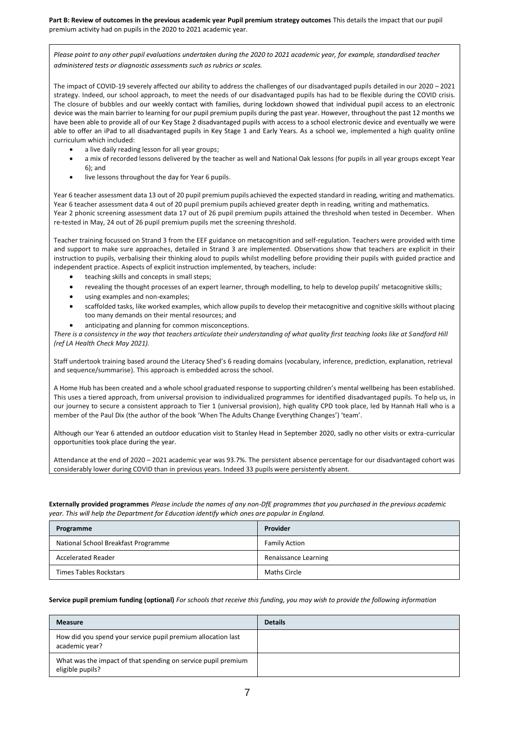**Part B: Review of outcomes in the previous academic year Pupil premium strategy outcomes** This details the impact that our pupil premium activity had on pupils in the 2020 to 2021 academic year.

*Please point to any other pupil evaluations undertaken during the 2020 to 2021 academic year, for example, standardised teacher administered tests or diagnostic assessments such as rubrics or scales.*

The impact of COVID-19 severely affected our ability to address the challenges of our disadvantaged pupils detailed in our 2020 – 2021 strategy. Indeed, our school approach, to meet the needs of our disadvantaged pupils has had to be flexible during the COVID crisis. The closure of bubbles and our weekly contact with families, during lockdown showed that individual pupil access to an electronic device was the main barrier to learning for our pupil premium pupils during the past year. However, throughout the past 12 months we have been able to provide all of our Key Stage 2 disadvantaged pupils with access to a school electronic device and eventually we were able to offer an iPad to all disadvantaged pupils in Key Stage 1 and Early Years. As a school we, implemented a high quality online curriculum which included:

- a live daily reading lesson for all year groups;
- a mix of recorded lessons delivered by the teacher as well and National Oak lessons (for pupils in all year groups except Year 6); and
- live lessons throughout the day for Year 6 pupils.

Year 6 teacher assessment data 13 out of 20 pupil premium pupils achieved the expected standard in reading, writing and mathematics. Year 6 teacher assessment data 4 out of 20 pupil premium pupils achieved greater depth in reading, writing and mathematics. Year 2 phonic screening assessment data 17 out of 26 pupil premium pupils attained the threshold when tested in December. When re-tested in May, 24 out of 26 pupil premium pupils met the screening threshold.

Teacher training focussed on Strand 3 from the EEF guidance on metacognition and self-regulation. Teachers were provided with time and support to make sure approaches, detailed in Strand 3 are implemented. Observations show that teachers are explicit in their instruction to pupils, verbalising their thinking aloud to pupils whilst modelling before providing their pupils with guided practice and independent practice. Aspects of explicit instruction implemented, by teachers, include:

- teaching skills and concepts in small steps;
- revealing the thought processes of an expert learner, through modelling, to help to develop pupils' metacognitive skills;
- using examples and non-examples;
- scaffolded tasks, like worked examples, which allow pupils to develop their metacognitive and cognitive skills without placing too many demands on their mental resources; and
- anticipating and planning for common misconceptions.

*There is a consistency in the way that teachers articulate their understanding of what quality first teaching looks like at Sandford Hill (ref LA Health Check May 2021).*

Staff undertook training based around the Literacy Shed's 6 reading domains (vocabulary, inference, prediction, explanation, retrieval and sequence/summarise). This approach is embedded across the school.

A Home Hub has been created and a whole school graduated response to supporting children's mental wellbeing has been established. This uses a tiered approach, from universal provision to individualized programmes for identified disadvantaged pupils. To help us, in our journey to secure a consistent approach to Tier 1 (universal provision), high quality CPD took place, led by Hannah Hall who is a member of the Paul Dix (the author of the book 'When The Adults Change Everything Changes') 'team'.

Although our Year 6 attended an outdoor education visit to Stanley Head in September 2020, sadly no other visits or extra-curricular opportunities took place during the year.

Attendance at the end of 2020 – 2021 academic year was 93.7%. The persistent absence percentage for our disadvantaged cohort was considerably lower during COVID than in previous years. Indeed 33 pupils were persistently absent.

**Externally provided programmes** *Please include the names of any non-DfE programmes that you purchased in the previous academic year. This will help the Department for Education identify which ones are popular in England.*

| Programme                           | Provider             |
|-------------------------------------|----------------------|
| National School Breakfast Programme | Family Action        |
| Accelerated Reader                  | Renaissance Learning |
| Times Tables Rockstars              | Maths Circle         |

#### **Service pupil premium funding (optional)** *For schools that receive this funding, you may wish to provide the following information*

| <b>Measure</b>                                                                    | <b>Details</b> |
|-----------------------------------------------------------------------------------|----------------|
| How did you spend your service pupil premium allocation last<br>academic year?    |                |
| What was the impact of that spending on service pupil premium<br>eligible pupils? |                |